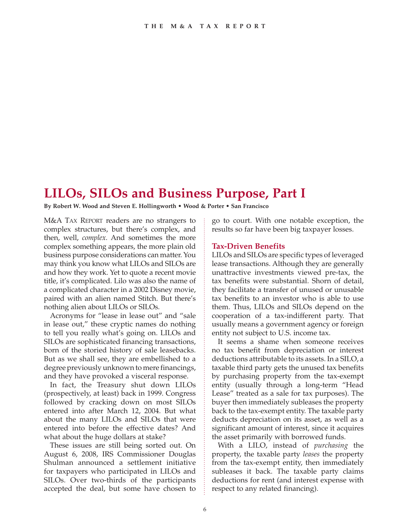## **LILOs, SILOs and Business Purpose, Part I**

**By Robert W. Wood and Steven E. Hollingworth • Wood & Porter • San Francisco**

M&A TAX REPORT readers are no strangers to complex structures, but there's complex, and then, well, *complex*. And sometimes the more complex something appears, the more plain old business purpose considerations can matter. You may think you know what LILOs and SILOs are and how they work. Yet to quote a recent movie title, it's complicated. Lilo was also the name of a complicated character in a 2002 Disney movie, paired with an alien named Stitch. But there's nothing alien about LILOs or SILOs.

Acronyms for "lease in lease out" and "sale in lease out," these cryptic names do nothing to tell you really what's going on. LILOs and SILOs are sophisticated financing transactions, born of the storied history of sale leasebacks. But as we shall see, they are embellished to a degree previously unknown to mere financings, and they have provoked a visceral response.

In fact, the Treasury shut down LILOs (prospectively, at least) back in 1999. Congress followed by cracking down on most SILOs entered into after March 12, 2004. But what about the many LILOs and SILOs that were entered into before the effective dates? And what about the huge dollars at stake?

These issues are still being sorted out. On August 6, 2008, IRS Commissioner Douglas Shulman announced a settlement initiative for taxpayers who participated in LILOs and SILOs. Over two-thirds of the participants accepted the deal, but some have chosen to

go to court. With one notable exception, the results so far have been big taxpayer losses.

## **Tax-Driven Benefits**

LILOs and SILOs are specific types of leveraged lease transactions. Although they are generally unattractive investments viewed pre-tax, the tax benefits were substantial. Shorn of detail, they facilitate a transfer of unused or unusable tax benefits to an investor who is able to use them. Thus, LILOs and SILOs depend on the cooperation of a tax-indifferent party. That usually means a government agency or foreign entity not subject to U.S. income tax.

It seems a shame when someone receives no tax benefit from depreciation or interest deductions attributable to its assets. In a SILO, a taxable third party gets the unused tax benefits by purchasing property from the tax-exempt entity (usually through a long-term "Head Lease" treated as a sale for tax purposes). The buyer then immediately subleases the property back to the tax-exempt entity. The taxable party deducts depreciation on its asset, as well as a significant amount of interest, since it acquires the asset primarily with borrowed funds.

With a LILO, instead of *purchasing* the property, the taxable party *leases* the property from the tax-exempt entity, then immediately subleases it back. The taxable party claims deductions for rent (and interest expense with respect to any related financing).